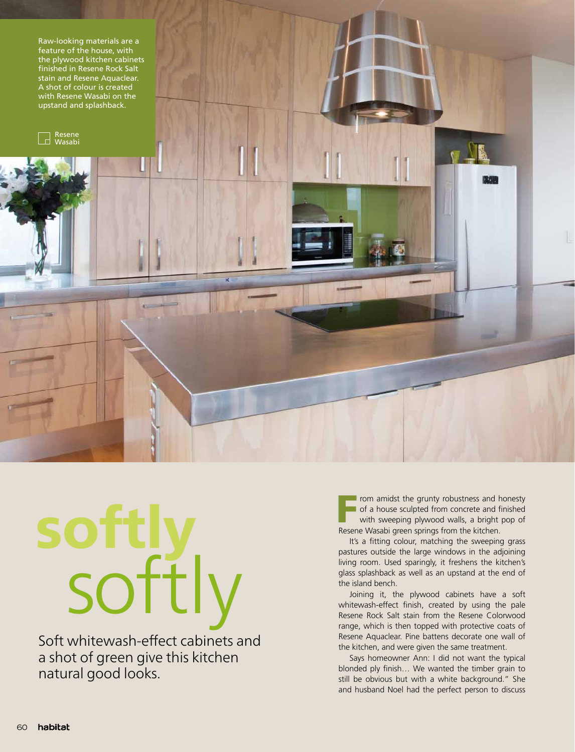

## softly softly

Soft whitewash-effect cabinets and a shot of green give this kitchen natural good looks.

From amidst the grunty robustness and honesty<br>
of a house sculpted from concrete and finished<br>
with sweeping plywood walls, a bright pop of<br>
Research Washi groop prince from the kitchen of a house sculpted from concrete and finished Resene Wasabi green springs from the kitchen.

It's a fitting colour, matching the sweeping grass pastures outside the large windows in the adjoining living room. Used sparingly, it freshens the kitchen's glass splashback as well as an upstand at the end of the island bench.

Joining it, the plywood cabinets have a soft whitewash-effect finish, created by using the pale Resene Rock Salt stain from the Resene Colorwood range, which is then topped with protective coats of Resene Aquaclear. Pine battens decorate one wall of the kitchen, and were given the same treatment.

Says homeowner Ann: I did not want the typical blonded ply finish… We wanted the timber grain to still be obvious but with a white background." She and husband Noel had the perfect person to discuss